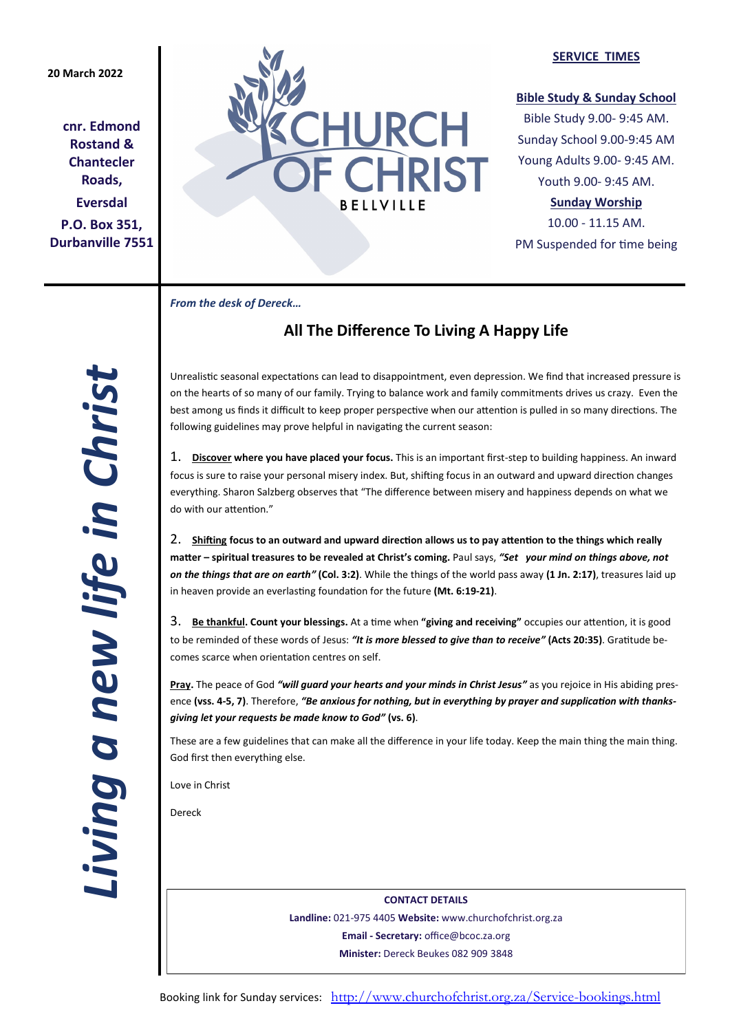# **20 March 2022**

**cnr. Edmond Rostand & Chantecler Roads, Eversdal P.O. Box 351, Durbanville 7551**



### **SERVICE TIMES**

## **Bible Study & Sunday School**

Bible Study 9.00- 9:45 AM. Sunday School 9.00-9:45 AM Young Adults 9.00- 9:45 AM. Youth 9.00- 9:45 AM.

# **Sunday Worship**

10.00 - 11.15 AM. PM Suspended for time being

*From the desk of Dereck…* 

# **All The Difference To Living A Happy Life**

Unrealistic seasonal expectations can lead to disappointment, even depression. We find that increased pressure is on the hearts of so many of our family. Trying to balance work and family commitments drives us crazy. Even the best among us finds it difficult to keep proper perspective when our attention is pulled in so many directions. The following guidelines may prove helpful in navigating the current season:

1. **Discover where you have placed your focus.** This is an important first-step to building happiness. An inward focus is sure to raise your personal misery index. But, shifting focus in an outward and upward direction changes everything. Sharon Salzberg observes that "The difference between misery and happiness depends on what we do with our attention."

2. **Shifting focus to an outward and upward direction allows us to pay attention to the things which really matter – spiritual treasures to be revealed at Christ's coming.** Paul says, *"Set your mind on things above, not on the things that are on earth"* **(Col. 3:2)**. While the things of the world pass away **(1 Jn. 2:17)**, treasures laid up in heaven provide an everlasting foundation for the future **(Mt. 6:19-21)**.

3. **Be thankful. Count your blessings.** At a time when **"giving and receiving"** occupies our attention, it is good to be reminded of these words of Jesus: *"It is more blessed to give than to receive"* **(Acts 20:35)**. Gratitude becomes scarce when orientation centres on self.

**Pray.** The peace of God *"will guard your hearts and your minds in Christ Jesus"* as you rejoice in His abiding presence **(vss. 4-5, 7)**. Therefore, *"Be anxious for nothing, but in everything by prayer and supplication with thanksgiving let your requests be made know to God"* **(vs. 6)**.

These are a few guidelines that can make all the difference in your life today. Keep the main thing the main thing. God first then everything else.

Love in Christ

Dereck

**CONTACT DETAILS Landline:** 021-975 4405 **Website:** www.churchofchrist.org.za **Email - Secretary:** office@bcoc.za.org **Minister:** Dereck Beukes 082 909 3848

Booking link for Sunday services: <http://www.churchofchrist.org.za/Service-bookings.html>